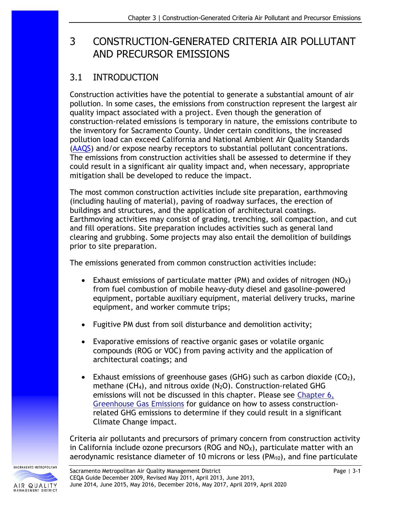# 3 CONSTRUCTION-GENERATED CRITERIA AIR POLLUTANT AND PRECURSOR EMISSIONS

# 3.1 INTRODUCTION

Construction activities have the potential to generate a substantial amount of air pollution. In some cases, the emissions from construction represent the largest air quality impact associated with a project. Even though the generation of construction-related emissions is temporary in nature, the emissions contribute to the inventory for Sacramento County. Under certain conditions, the increased pollution load can exceed California and National Ambient Air Quality Standards [\(AAQS\)](http://www.arb.ca.gov/research/aaqs/aaqs2.pdf) and/or expose nearby receptors to substantial pollutant concentrations. The emissions from construction activities shall be assessed to determine if they could result in a significant air quality impact and, when necessary, appropriate mitigation shall be developed to reduce the impact.

The most common construction activities include site preparation, earthmoving (including hauling of material), paving of roadway surfaces, the erection of buildings and structures, and the application of architectural coatings. Earthmoving activities may consist of grading, trenching, soil compaction, and cut and fill operations. Site preparation includes activities such as general land clearing and grubbing. Some projects may also entail the demolition of buildings prior to site preparation.

The emissions generated from common construction activities include:

- Exhaust emissions of particulate matter (PM) and oxides of nitrogen ( $NO<sub>X</sub>$ ) from fuel combustion of mobile heavy-duty diesel and gasoline-powered equipment, portable auxiliary equipment, material delivery trucks, marine equipment, and worker commute trips;
- Fugitive PM dust from soil disturbance and demolition activity;
- Evaporative emissions of reactive organic gases or volatile organic compounds (ROG or VOC) from paving activity and the application of architectural coatings; and
- Exhaust emissions of greenhouse gases (GHG) such as carbon dioxide ( $CO<sub>2</sub>$ ), methane  $(CH_4)$ , and nitrous oxide  $(N_2O)$ . Construction-related GHG emissions will not be discussed in this chapter. Please see [Chapter 6,](http://www.airquality.org/Businesses/CEQA-Land-Use-Planning/CEQA-Guidance-Tools) [Greenhouse Gas Emissions](http://www.airquality.org/Businesses/CEQA-Land-Use-Planning/CEQA-Guidance-Tools) for guidance on how to assess constructionrelated GHG emissions to determine if they could result in a significant Climate Change impact.

Criteria air pollutants and precursors of primary concern from construction activity in California include ozone precursors (ROG and  $NO<sub>X</sub>$ ), particulate matter with an aerodynamic resistance diameter of 10 microns or less (PM<sub>10</sub>), and fine particulate

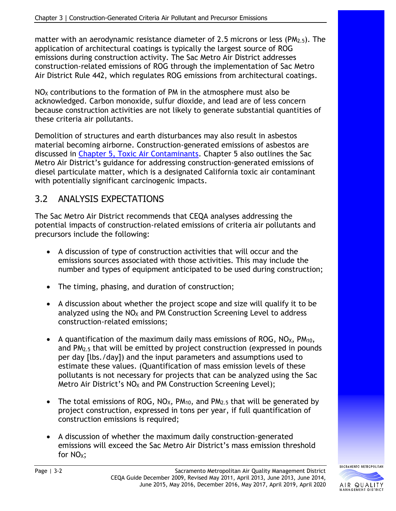matter with an aerodynamic resistance diameter of 2.5 microns or less ( $PM_{2.5}$ ). The application of architectural coatings is typically the largest source of ROG emissions during construction activity. The Sac Metro Air District addresses construction-related emissions of ROG through the implementation of Sac Metro Air District Rule 442, which regulates ROG emissions from architectural coatings.

 $NO<sub>x</sub>$  contributions to the formation of PM in the atmosphere must also be acknowledged. Carbon monoxide, sulfur dioxide, and lead are of less concern because construction activities are not likely to generate substantial quantities of these criteria air pollutants.

Demolition of structures and earth disturbances may also result in asbestos material becoming airborne. Construction-generated emissions of asbestos are discussed in [Chapter 5, Toxic Air Contaminants.](http://www.airquality.org/Businesses/CEQA-Land-Use-Planning/CEQA-Guidance-Tools) Chapter 5 also outlines the Sac Metro Air District's guidance for addressing construction-generated emissions of diesel particulate matter, which is a designated California toxic air contaminant with potentially significant carcinogenic impacts.

# 3.2 ANALYSIS EXPECTATIONS

The Sac Metro Air District recommends that CEQA analyses addressing the potential impacts of construction-related emissions of criteria air pollutants and precursors include the following:

- A discussion of type of construction activities that will occur and the emissions sources associated with those activities. This may include the number and types of equipment anticipated to be used during construction;
- The timing, phasing, and duration of construction;
- A discussion about whether the project scope and size will qualify it to be analyzed using the  $NO<sub>X</sub>$  and PM Construction Screening Level to address construction-related emissions;
- A quantification of the maximum daily mass emissions of ROG,  $NO<sub>X</sub>$ ,  $PM<sub>10</sub>$ , and PM2.5 that will be emitted by project construction (expressed in pounds per day [lbs./day]) and the input parameters and assumptions used to estimate these values. (Quantification of mass emission levels of these pollutants is not necessary for projects that can be analyzed using the Sac Metro Air District's  $NO<sub>X</sub>$  and PM Construction Screening Level);
- The total emissions of ROG,  $NO_{X}$ ,  $PM_{10}$ , and  $PM_{2.5}$  that will be generated by project construction, expressed in tons per year, if full quantification of construction emissions is required;
- A discussion of whether the maximum daily construction-generated emissions will exceed the Sac Metro Air District's mass emission threshold for NO<sub>x</sub>:

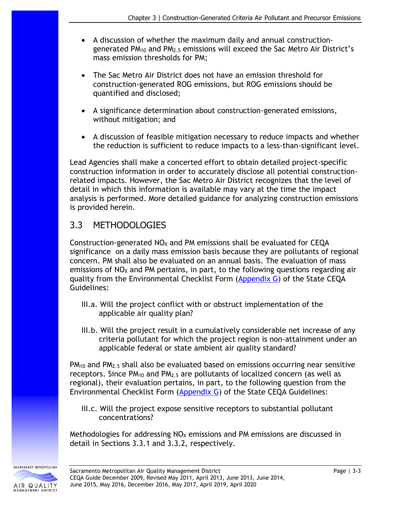- A discussion of whether the maximum daily and annual constructiongenerated PM<sub>10</sub> and PM<sub>2.5</sub> emissions will exceed the Sac Metro Air District's mass emission thresholds for PM;
- The Sac Metro Air District does not have an emission threshold for construction-generated ROG emissions, but ROG emissions should be quantified and disclosed;
- A significance determination about construction-generated emissions, without mitigation; and
- A discussion of feasible mitigation necessary to reduce impacts and whether the reduction is sufficient to reduce impacts to a less-than-significant level.

Lead Agencies shall make a concerted effort to obtain detailed project-specific construction information in order to accurately disclose all potential constructionrelated impacts. However, the Sac Metro Air District recognizes that the level of detail in which this information is available may vary at the time the impact analysis is performed. More detailed guidance for analyzing construction emissions is provided herein.

## 3.3 METHODOLOGIES

Construction-generated  $NO<sub>X</sub>$  and PM emissions shall be evaluated for CEQA significance on a daily mass emission basis because they are pollutants of regional concern. PM shall also be evaluated on an annual basis. The evaluation of mass emissions of  $NO<sub>x</sub>$  and PM pertains, in part, to the following questions regarding air quality from the Environmental Checklist Form [\(Appendix G\)](https://califaep.org/images/ceqa/statute-guidelines/2019/2019-Appendix-G-Checklist-Final.pdf) of the State CEQA Guidelines:

- III.a. Will the project conflict with or obstruct implementation of the applicable air quality plan?
- III.b. Will the project result in a cumulatively considerable net increase of any criteria pollutant for which the project region is non-attainment under an applicable federal or state ambient air quality standard?

 $PM_{10}$  and  $PM_{2.5}$  shall also be evaluated based on emissions occurring near sensitive receptors. Since  $PM_{10}$  and  $PM_{2.5}$  are pollutants of localized concern (as well as regional), their evaluation pertains, in part, to the following question from the Environmental Checklist Form [\(Appendix G\)](https://califaep.org/images/ceqa/statute-guidelines/2019/2019-Appendix-G-Checklist-Final.pdf) of the State CEQA Guidelines:

III.c. Will the project expose sensitive receptors to substantial pollutant concentrations?

Methodologies for addressing  $NO<sub>X</sub>$  emissions and PM emissions are discussed in detail in Sections 3.3.1 and 3.3.2, respectively.

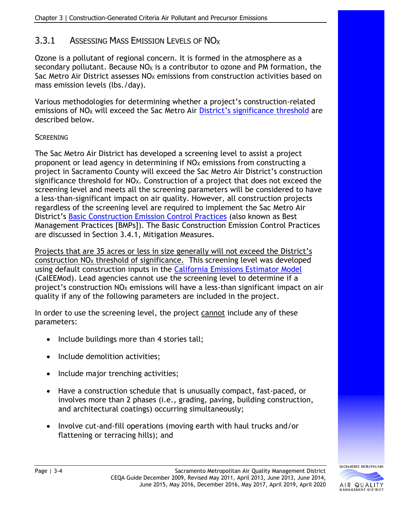## 3.3.1 ASSESSING MASS EMISSION LEVELS OF NO<sub>x</sub>

Ozone is a pollutant of regional concern. It is formed in the atmosphere as a secondary pollutant. Because  $NO<sub>X</sub>$  is a contributor to ozone and PM formation, the Sac Metro Air District assesses  $NO<sub>x</sub>$  emissions from construction activities based on mass emission levels (lbs./day).

Various methodologies for determining whether a project's construction-related emissions of NO<sub>x</sub> will exceed the Sac Metro Air District's [significance threshold](http://www.airquality.org/Residents/CEQA-Land-Use-Planning/CEQA-Guidance-Tools) are described below.

#### **SCREENING**

The Sac Metro Air District has developed a screening level to assist a project proponent or lead agency in determining if  $NO<sub>X</sub>$  emissions from constructing a project in Sacramento County will exceed the Sac Metro Air District's construction significance threshold for  $NO<sub>X</sub>$ . Construction of a project that does not exceed the screening level and meets all the screening parameters will be considered to have a less-than-significant impact on air quality. However, all construction projects regardless of the screening level are required to implement the Sac Metro Air District's [Basic Construction Emission Control Practices](http://www.airquality.org/Residents/CEQA-Land-Use-Planning/CEQA-Guidance-Tools) (also known as Best Management Practices [BMPs]). The Basic Construction Emission Control Practices are discussed in Section 3.4.1, Mitigation Measures.

Projects that are 35 acres or less in size generally will not exceed the District's construction  $NO<sub>x</sub>$  threshold of significance. This screening level was developed using default construction inputs in the [California Emissions Estimator Model](http://www.caleemod.com/)  (CalEEMod). Lead agencies cannot use the screening level to determine if a project's construction  $NO<sub>X</sub>$  emissions will have a less-than significant impact on air quality if any of the following parameters are included in the project.

In order to use the screening level, the project cannot include any of these parameters:

- Include buildings more than 4 stories tall;
- Include demolition activities;
- Include major trenching activities;
- Have a construction schedule that is unusually compact, fast-paced, or involves more than 2 phases (i.e., grading, paving, building construction, and architectural coatings) occurring simultaneously;
- Involve cut-and-fill operations (moving earth with haul trucks and/or flattening or terracing hills); and

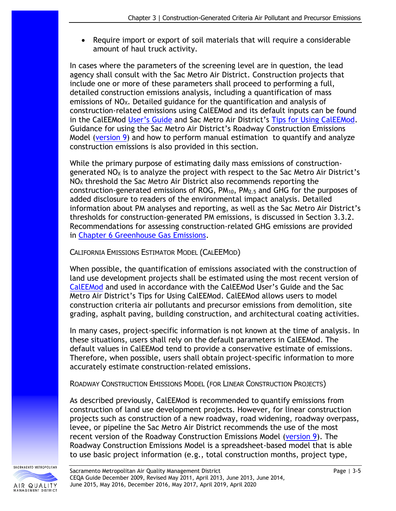• Require import or export of soil materials that will require a considerable amount of haul truck activity.

In cases where the parameters of the screening level are in question, the lead agency shall consult with the Sac Metro Air District. Construction projects that include one or more of these parameters shall proceed to performing a full, detailed construction emissions analysis, including a quantification of mass emissions of  $NO<sub>x</sub>$ . Detailed guidance for the quantification and analysis of construction-related emissions using CalEEMod and its default inputs can be found in the CalEEMod User'[s Guide](http://www.caleemod.com/) and Sac Metro Air District's [Tips for Using CalEEMod.](http://www.airquality.org/LandUseTransportation/Documents/UserTipsSMAQMDFinal2-2019.pdf) Guidance for using the Sac Metro Air District's Roadway Construction Emissions Model [\(version 9\)](http://www.airquality.org/LandUseTransportation/Documents/RoadConstructionEmissionsModelVer9_0_0_locked.zip) and how to perform manual estimation to quantify and analyze construction emissions is also provided in this section.

While the primary purpose of estimating daily mass emissions of constructiongenerated  $NO<sub>x</sub>$  is to analyze the project with respect to the Sac Metro Air District's  $NO<sub>x</sub>$  threshold the Sac Metro Air District also recommends reporting the construction-generated emissions of ROG,  $PM<sub>10</sub>$ ,  $PM<sub>2.5</sub>$  and GHG for the purposes of added disclosure to readers of the environmental impact analysis. Detailed information about PM analyses and reporting, as well as the Sac Metro Air District's thresholds for construction-generated PM emissions, is discussed in Section 3.3.2. Recommendations for assessing construction-related GHG emissions are provided in [Chapter 6 Greenhouse Gas Emissions.](http://www.airquality.org/Businesses/CEQA-Land-Use-Planning/CEQA-Guidance-Tools)

#### CALIFORNIA EMISSIONS ESTIMATOR MODEL (CALEEMOD)

When possible, the quantification of emissions associated with the construction of land use development projects shall be estimated using the most recent version of [CalEEMod](http://www.caleemod.com/) and used in accordance with the CalEEMod User's Guide and the Sac Metro Air District's Tips for Using CalEEMod. CalEEMod allows users to model construction criteria air pollutants and precursor emissions from demolition, site grading, asphalt paving, building construction, and architectural coating activities.

In many cases, project-specific information is not known at the time of analysis. In these situations, users shall rely on the default parameters in CalEEMod. The default values in CalEEMod tend to provide a conservative estimate of emissions. Therefore, when possible, users shall obtain project-specific information to more accurately estimate construction-related emissions.

ROADWAY CONSTRUCTION EMISSIONS MODEL (FOR LINEAR CONSTRUCTION PROJECTS)

As described previously, CalEEMod is recommended to quantify emissions from construction of land use development projects. However, for linear construction projects such as construction of a new roadway, road widening, roadway overpass, levee, or pipeline the Sac Metro Air District recommends the use of the most recent version of the Roadway Construction Emissions Model [\(version 9\)](http://www.airquality.org/LandUseTransportation/Documents/RoadConstructionEmissionsModelVer9_0_0_locked.zip). The Roadway Construction Emissions Model is a spreadsheet-based model that is able to use basic project information (e.g., total construction months, project type,

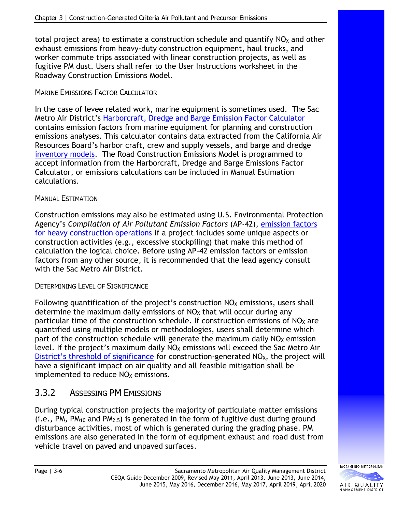total project area) to estimate a construction schedule and quantify  $NO<sub>X</sub>$  and other exhaust emissions from heavy-duty construction equipment, haul trucks, and worker commute trips associated with linear construction projects, as well as fugitive PM dust. Users shall refer to the User Instructions worksheet in the Roadway Construction Emissions Model.

#### MARINE EMISSIONS FACTOR CALCULATOR

In the case of levee related work, marine equipment is sometimes used. The Sac Metro Air District's [Harborcraft, Dredge and Barge Emission Factor Calculator](http://www.airquality.org/LandUseTransportation/Documents/SMAQMD_HC_Calculator_30Jun2017_v1_0.xlsx) contains emission factors from marine equipment for planning and construction emissions analyses. This calculator contains data extracted from the California Air Resources Board's harbor craft, crew and supply vessels, and barge and dredge [inventory models.](https://ww2.arb.ca.gov/our-work/programs/mobile-source-emissions-inventory/road-documentation/msei-documentation-road) The Road Construction Emissions Model is programmed to accept information from the Harborcraft, Dredge and Barge Emissions Factor Calculator, or emissions calculations can be included in Manual Estimation calculations.

#### MANUAL ESTIMATION

Construction emissions may also be estimated using U.S. Environmental Protection Agency's *Compilation of Air Pollutant Emission Factors* (AP-42), [emission factors](http://www.epa.gov/ttn/chief/ap42/ch13/final/c13s02-3.pdf)  [for heavy construction operations](http://www.epa.gov/ttn/chief/ap42/ch13/final/c13s02-3.pdf) if a project includes some unique aspects or construction activities (e.g., excessive stockpiling) that make this method of calculation the logical choice. Before using AP-42 emission factors or emission factors from any other source, it is recommended that the lead agency consult with the Sac Metro Air District.

#### DETERMINING LEVEL OF SIGNIFICANCE

Following quantification of the project's construction  $NO<sub>X</sub>$  emissions, users shall determine the maximum daily emissions of  $NO<sub>X</sub>$  that will occur during any particular time of the construction schedule. If construction emissions of  $NO<sub>X</sub>$  are quantified using multiple models or methodologies, users shall determine which part of the construction schedule will generate the maximum daily  $NO<sub>X</sub>$  emission level. If the project's maximum daily  $NO<sub>X</sub>$  emissions will exceed the Sac Metro Air District's [threshold of significance](http://www.airquality.org/Residents/CEQA-Land-Use-Planning/CEQA-Guidance-Tools) for construction-generated  $NO<sub>X</sub>$ , the project will have a significant impact on air quality and all feasible mitigation shall be implemented to reduce  $NO<sub>X</sub>$  emissions.

## 3.3.2 ASSESSING PM EMISSIONS

During typical construction projects the majority of particulate matter emissions  $(i.e., PM, PM<sub>10</sub> and PM<sub>2.5</sub>)$  is generated in the form of fugitive dust during ground disturbance activities, most of which is generated during the grading phase. PM emissions are also generated in the form of equipment exhaust and road dust from vehicle travel on paved and unpaved surfaces.

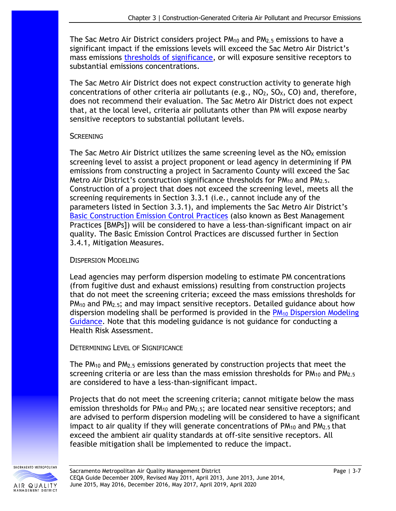The Sac Metro Air District considers project  $PM_{10}$  and  $PM_{2.5}$  emissions to have a significant impact if the emissions levels will exceed the Sac Metro Air District's mass emissions thresholds [of significance,](http://www.airquality.org/Residents/CEQA-Land-Use-Planning/CEQA-Guidance-Tools) or will exposure sensitive receptors to substantial emissions concentrations.

The Sac Metro Air District does not expect construction activity to generate high concentrations of other criteria air pollutants (e.g.,  $NO<sub>2</sub>$ ,  $SO<sub>X</sub>$ , CO) and, therefore, does not recommend their evaluation. The Sac Metro Air District does not expect that, at the local level, criteria air pollutants other than PM will expose nearby sensitive receptors to substantial pollutant levels.

#### **SCREENING**

The Sac Metro Air District utilizes the same screening level as the  $NO<sub>X</sub>$  emission screening level to assist a project proponent or lead agency in determining if PM emissions from constructing a project in Sacramento County will exceed the Sac Metro Air District's construction significance thresholds for PM<sub>10</sub> and PM<sub>2.5</sub>. Construction of a project that does not exceed the screening level, meets all the screening requirements in Section 3.3.1 (i.e., cannot include any of the parameters listed in Section 3.3.1), and implements the Sac Metro Air District's [Basic Construction Emission Control](http://www.airquality.org/Residents/CEQA-Land-Use-Planning/CEQA-Guidance-Tools) Practices (also known as Best Management Practices [BMPs]) will be considered to have a less-than-significant impact on air quality. The Basic Emission Control Practices are discussed further in Section 3.4.1, Mitigation Measures.

#### DISPERSION MODELING

Lead agencies may perform dispersion modeling to estimate PM concentrations (from fugitive dust and exhaust emissions) resulting from construction projects that do not meet the screening criteria; exceed the mass emissions thresholds for  $PM_{10}$  and  $PM_{2.5}$ ; and may impact sensitive receptors. Detailed guidance about how dispersion modeling shall be performed is provided in the  $PM_{10}$  Dispersion Modeling [Guidance.](http://www.airquality.org/LandUseTransportation/Documents/Ch3PMDispersionModelingGuidanceFINAL7-2013.pdf) Note that this modeling guidance is not guidance for conducting a Health Risk Assessment.

#### DETERMINING LEVEL OF SIGNIFICANCE

The  $PM_{10}$  and  $PM_{2.5}$  emissions generated by construction projects that meet the screening criteria or are less than the mass emission thresholds for  $PM_{10}$  and  $PM_{2.5}$ are considered to have a less-than-significant impact.

Projects that do not meet the screening criteria; cannot mitigate below the mass emission thresholds for  $PM_{10}$  and  $PM_{2.5}$ ; are located near sensitive receptors; and are advised to perform dispersion modeling will be considered to have a significant impact to air quality if they will generate concentrations of  $PM_{10}$  and  $PM_{2.5}$  that exceed the ambient air quality standards at off-site sensitive receptors. All feasible mitigation shall be implemented to reduce the impact.

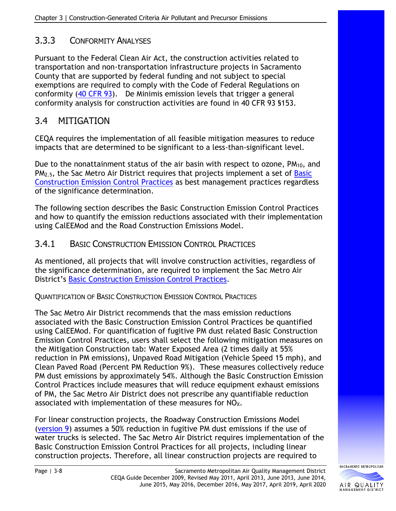## 3.3.3 CONFORMITY ANALYSES

Pursuant to the Federal Clean Air Act, the construction activities related to transportation and non-transportation infrastructure projects in Sacramento County that are supported by federal funding and not subject to special exemptions are required to comply with the Code of Federal Regulations on conformity [\(40 CFR 93\)](https://www.ecfr.gov/cgi-bin/text-idx?SID=b88a6138ce7c3cc31f392c6a66f26550&mc=true&node=pt40.22.93&rgn=div5). De Minimis emission levels that trigger a general conformity analysis for construction activities are found in 40 CFR 93 §153.

# 3.4 MITIGATION

CEQA requires the implementation of all feasible mitigation measures to reduce impacts that are determined to be significant to a less-than-significant level.

Due to the nonattainment status of the air basin with respect to ozone, PM<sub>10</sub>, and  $PM<sub>2.5</sub>$ , the Sac Metro Air District requires that projects implement a set of Basic [Construction Emission Control Practices](http://www.airquality.org/Residents/CEQA-Land-Use-Planning/CEQA-Guidance-Tools) as best management practices regardless of the significance determination.

The following section describes the Basic Construction Emission Control Practices and how to quantify the emission reductions associated with their implementation using CalEEMod and the Road Construction Emissions Model.

## 3.4.1 BASIC CONSTRUCTION EMISSION CONTROL PRACTICES

As mentioned, all projects that will involve construction activities, regardless of the significance determination, are required to implement the Sac Metro Air District's [Basic Construction Emission Control Practices.](http://www.airquality.org/Residents/CEQA-Land-Use-Planning/CEQA-Guidance-Tools)

QUANTIFICATION OF BASIC CONSTRUCTION EMISSION CONTROL PRACTICES

The Sac Metro Air District recommends that the mass emission reductions associated with the Basic Construction Emission Control Practices be quantified using CalEEMod. For quantification of fugitive PM dust related Basic Construction Emission Control Practices, users shall select the following mitigation measures on the Mitigation Construction tab: Water Exposed Area (2 times daily at 55% reduction in PM emissions), Unpaved Road Mitigation (Vehicle Speed 15 mph), and Clean Paved Road (Percent PM Reduction 9%). These measures collectively reduce PM dust emissions by approximately 54%. Although the Basic Construction Emission Control Practices include measures that will reduce equipment exhaust emissions of PM, the Sac Metro Air District does not prescribe any quantifiable reduction associated with implementation of these measures for  $NO<sub>X</sub>$ .

For linear construction projects, the Roadway Construction Emissions Model [\(version 9\)](http://www.airquality.org/LandUseTransportation/Documents/RoadConstructionEmissionsModelVer9_0_0_locked.zip) assumes a 50% reduction in fugitive PM dust emissions if the use of water trucks is selected. The Sac Metro Air District requires implementation of the Basic Construction Emission Control Practices for all projects, including linear construction projects. Therefore, all linear construction projects are required to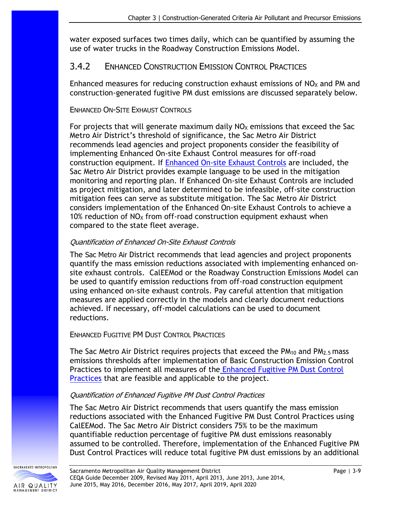water exposed surfaces two times daily, which can be quantified by assuming the use of water trucks in the Roadway Construction Emissions Model.

### 3.4.2 ENHANCED CONSTRUCTION EMISSION CONTROL PRACTICES

Enhanced measures for reducing construction exhaust emissions of  $NO<sub>x</sub>$  and PM and construction-generated fugitive PM dust emissions are discussed separately below.

#### ENHANCED ON-SITE EXHAUST CONTROLS

For projects that will generate maximum daily  $NO<sub>x</sub>$  emissions that exceed the Sac Metro Air District's threshold of significance, the Sac Metro Air District recommends lead agencies and project proponents consider the feasibility of implementing Enhanced On-site Exhaust Control measures for off-road construction equipment. If [Enhanced On-site Exhaust Controls](http://www.airquality.org/Residents/CEQA-Land-Use-Planning/CEQA-Guidance-Tools) are included, the Sac Metro Air District provides example language to be used in the mitigation monitoring and reporting plan. If Enhanced On-site Exhaust Controls are included as project mitigation, and later determined to be infeasible, off-site construction mitigation fees can serve as substitute mitigation. The Sac Metro Air District considers implementation of the Enhanced On-site Exhaust Controls to achieve a 10% reduction of  $NO<sub>x</sub>$  from off-road construction equipment exhaust when compared to the state fleet average.

#### Quantification of Enhanced On-Site Exhaust Controls

The Sac Metro Air District recommends that lead agencies and project proponents quantify the mass emission reductions associated with implementing enhanced onsite exhaust controls. CalEEMod or the Roadway Construction Emissions Model can be used to quantify emission reductions from off-road construction equipment using enhanced on-site exhaust controls. Pay careful attention that mitigation measures are applied correctly in the models and clearly document reductions achieved. If necessary, off-model calculations can be used to document reductions.

#### ENHANCED FUGITIVE PM DUST CONTROL PRACTICES

The Sac Metro Air District requires projects that exceed the  $PM_{10}$  and  $PM_{2.5}$  mass emissions thresholds after implementation of Basic Construction Emission Control Practices to implement all measures of the [Enhanced Fugitive PM Dust Control](http://www.airquality.org/Residents/CEQA-Land-Use-Planning/CEQA-Guidance-Tools)  **[Practices](http://www.airquality.org/Residents/CEQA-Land-Use-Planning/CEQA-Guidance-Tools)** that are feasible and applicable to the project.

#### Quantification of Enhanced Fugitive PM Dust Control Practices

The Sac Metro Air District recommends that users quantify the mass emission reductions associated with the Enhanced Fugitive PM Dust Control Practices using CalEEMod. The Sac Metro Air District considers 75% to be the maximum quantifiable reduction percentage of fugitive PM dust emissions reasonably assumed to be controlled. Therefore, implementation of the Enhanced Fugitive PM Dust Control Practices will reduce total fugitive PM dust emissions by an additional

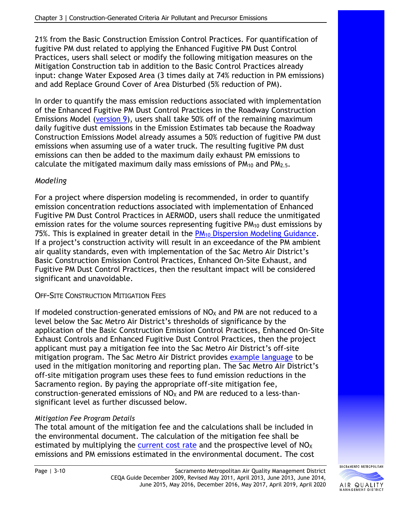21% from the Basic Construction Emission Control Practices. For quantification of fugitive PM dust related to applying the Enhanced Fugitive PM Dust Control Practices, users shall select or modify the following mitigation measures on the Mitigation Construction tab in addition to the Basic Control Practices already input: change Water Exposed Area (3 times daily at 74% reduction in PM emissions) and add Replace Ground Cover of Area Disturbed (5% reduction of PM).

In order to quantify the mass emission reductions associated with implementation of the Enhanced Fugitive PM Dust Control Practices in the Roadway Construction Emissions Model [\(version 9\)](http://www.airquality.org/LandUseTransportation/Documents/RoadConstructionEmissionsModelVer9_0_0_locked.zip), users shall take 50% off of the remaining maximum daily fugitive dust emissions in the Emission Estimates tab because the Roadway Construction Emissions Model already assumes a 50% reduction of fugitive PM dust emissions when assuming use of a water truck. The resulting fugitive PM dust emissions can then be added to the maximum daily exhaust PM emissions to calculate the mitigated maximum daily mass emissions of  $PM_{10}$  and  $PM_{2.5}$ .

### *Modeling*

For a project where dispersion modeling is recommended, in order to quantify emission concentration reductions associated with implementation of Enhanced Fugitive PM Dust Control Practices in AERMOD, users shall reduce the unmitigated emission rates for the volume sources representing fugitive  $PM_{10}$  dust emissions by 75%. This is explained in greater detail in the  $PM_{10}$  [Dispersion Modeling Guidance.](http://www.airquality.org/LandUseTransportation/Documents/Ch3PMDispersionModelingGuidanceFINAL7-2013.pdf) If a project's construction activity will result in an exceedance of the PM ambient air quality standards, even with implementation of the Sac Metro Air District's Basic Construction Emission Control Practices, Enhanced On-Site Exhaust, and Fugitive PM Dust Control Practices, then the resultant impact will be considered significant and unavoidable.

### OFF-SITE CONSTRUCTION MITIGATION FEES

If modeled construction-generated emissions of  $NO<sub>X</sub>$  and PM are not reduced to a level below the Sac Metro Air District's thresholds of significance by the application of the Basic Construction Emission Control Practices, Enhanced On-Site Exhaust Controls and Enhanced Fugitive Dust Control Practices, then the project applicant must pay a mitigation fee into the Sac Metro Air District's off-site mitigation program. The Sac Metro Air District provides [example language](http://www.airquality.org/Businesses/CEQA-Land-Use-Planning/CEQA-Guidance-Tools) to be used in the mitigation monitoring and reporting plan. The Sac Metro Air District's off-site mitigation program uses these fees to fund emission reductions in the Sacramento region. By paying the appropriate off-site mitigation fee, construction-generated emissions of  $NO<sub>X</sub>$  and PM are reduced to a less-thansignificant level as further discussed below.

### *Mitigation Fee Program Details*

The total amount of the mitigation fee and the calculations shall be included in the environmental document. The calculation of the mitigation fee shall be estimated by multiplying the current [cost rate](http://www.airquality.org/businesses/ceqa-land-use-planning/mitigation) and the prospective level of  $NO<sub>X</sub>$ emissions and PM emissions estimated in the environmental document. The cost